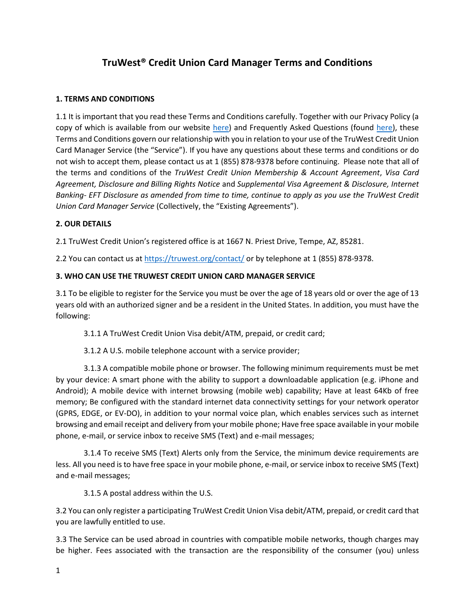# **TruWest® Credit Union Card Manager Terms and Conditions**

## **1. TERMS AND CONDITIONS**

1.1 It is important that you read these Terms and Conditions carefully. Together with our Privacy Policy (a copy of which is available from our website [here\)](https://truwest.org/legal-disclosures/notice-of-your-financial-privacy-rights/) and Frequently Asked Questions (found [here\)](https://truwest.org/cardmanager/#panel-3), these Terms and Conditions govern our relationship with you in relation to your use of the TruWest Credit Union Card Manager Service (the "Service"). If you have any questions about these terms and conditions or do not wish to accept them, please contact us at 1 (855) 878-9378 before continuing. Please note that all of the terms and conditions of the *TruWest Credit Union Membership & Account Agreement*, *Visa Card Agreement, Disclosure and Billing Rights Notice* and *Supplemental Visa Agreement & Disclosure, Internet Banking- EFT Disclosure as amended from time to time, continue to apply as you use the TruWest Credit Union Card Manager Service* (Collectively, the "Existing Agreements").

## **2. OUR DETAILS**

2.1 TruWest Credit Union's registered office is at 1667 N. Priest Drive, Tempe, AZ, 85281.

2.2 You can contact us at<https://truwest.org/contact/> or by telephone at 1 (855) 878-9378.

## **3. WHO CAN USE THE TRUWEST CREDIT UNION CARD MANAGER SERVICE**

3.1 To be eligible to register for the Service you must be over the age of 18 years old or over the age of 13 years old with an authorized signer and be a resident in the United States. In addition, you must have the following:

3.1.1 A TruWest Credit Union Visa debit/ATM, prepaid, or credit card;

3.1.2 A U.S. mobile telephone account with a service provider;

3.1.3 A compatible mobile phone or browser. The following minimum requirements must be met by your device: A smart phone with the ability to support a downloadable application (e.g. iPhone and Android); A mobile device with internet browsing (mobile web) capability; Have at least 64Kb of free memory; Be configured with the standard internet data connectivity settings for your network operator (GPRS, EDGE, or EV-DO), in addition to your normal voice plan, which enables services such as internet browsing and email receipt and delivery from your mobile phone; Have free space available in your mobile phone, e-mail, or service inbox to receive SMS (Text) and e-mail messages;

3.1.4 To receive SMS (Text) Alerts only from the Service, the minimum device requirements are less. All you need is to have free space in your mobile phone, e-mail, or service inbox to receive SMS (Text) and e-mail messages;

3.1.5 A postal address within the U.S.

3.2 You can only register a participating TruWest Credit Union Visa debit/ATM, prepaid, or credit card that you are lawfully entitled to use.

3.3 The Service can be used abroad in countries with compatible mobile networks, though charges may be higher. Fees associated with the transaction are the responsibility of the consumer (you) unless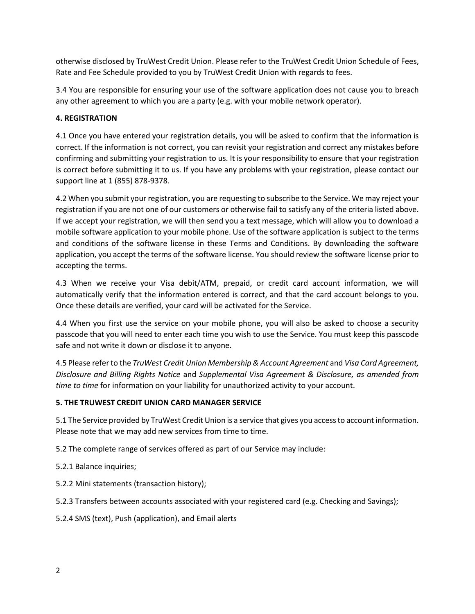otherwise disclosed by TruWest Credit Union. Please refer to the TruWest Credit Union Schedule of Fees, Rate and Fee Schedule provided to you by TruWest Credit Union with regards to fees.

3.4 You are responsible for ensuring your use of the software application does not cause you to breach any other agreement to which you are a party (e.g. with your mobile network operator).

## **4. REGISTRATION**

4.1 Once you have entered your registration details, you will be asked to confirm that the information is correct. If the information is not correct, you can revisit your registration and correct any mistakes before confirming and submitting your registration to us. It is your responsibility to ensure that your registration is correct before submitting it to us. If you have any problems with your registration, please contact our support line at 1 (855) 878-9378.

4.2 When you submit your registration, you are requesting to subscribe to the Service. We may reject your registration if you are not one of our customers or otherwise fail to satisfy any of the criteria listed above. If we accept your registration, we will then send you a text message, which will allow you to download a mobile software application to your mobile phone. Use of the software application is subject to the terms and conditions of the software license in these Terms and Conditions. By downloading the software application, you accept the terms of the software license. You should review the software license prior to accepting the terms.

4.3 When we receive your Visa debit/ATM, prepaid, or credit card account information, we will automatically verify that the information entered is correct, and that the card account belongs to you. Once these details are verified, your card will be activated for the Service.

4.4 When you first use the service on your mobile phone, you will also be asked to choose a security passcode that you will need to enter each time you wish to use the Service. You must keep this passcode safe and not write it down or disclose it to anyone.

4.5 Please refer to the *TruWest Credit Union Membership & Account Agreement* and *Visa Card Agreement, Disclosure and Billing Rights Notice* and *Supplemental Visa Agreement & Disclosure, as amended from time to time* for information on your liability for unauthorized activity to your account.

# **5. THE TRUWEST CREDIT UNION CARD MANAGER SERVICE**

5.1 The Service provided by TruWest Credit Union is a service that gives you access to account information. Please note that we may add new services from time to time.

5.2 The complete range of services offered as part of our Service may include:

- 5.2.1 Balance inquiries;
- 5.2.2 Mini statements (transaction history);

5.2.3 Transfers between accounts associated with your registered card (e.g. Checking and Savings);

5.2.4 SMS (text), Push (application), and Email alerts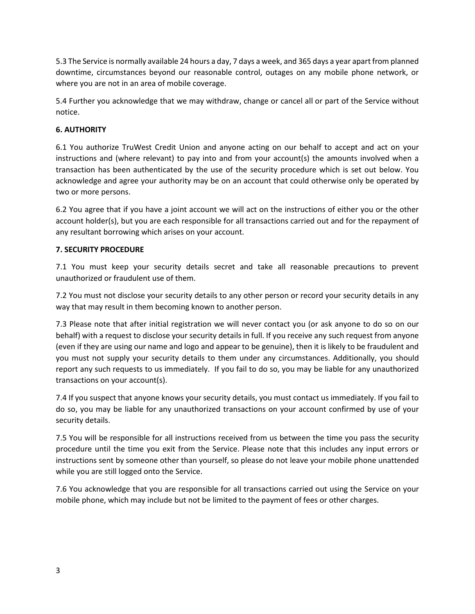5.3 The Service is normally available 24 hours a day, 7 days a week, and 365 days a year apart from planned downtime, circumstances beyond our reasonable control, outages on any mobile phone network, or where you are not in an area of mobile coverage.

5.4 Further you acknowledge that we may withdraw, change or cancel all or part of the Service without notice.

## **6. AUTHORITY**

6.1 You authorize TruWest Credit Union and anyone acting on our behalf to accept and act on your instructions and (where relevant) to pay into and from your account(s) the amounts involved when a transaction has been authenticated by the use of the security procedure which is set out below. You acknowledge and agree your authority may be on an account that could otherwise only be operated by two or more persons.

6.2 You agree that if you have a joint account we will act on the instructions of either you or the other account holder(s), but you are each responsible for all transactions carried out and for the repayment of any resultant borrowing which arises on your account.

## **7. SECURITY PROCEDURE**

7.1 You must keep your security details secret and take all reasonable precautions to prevent unauthorized or fraudulent use of them.

7.2 You must not disclose your security details to any other person or record your security details in any way that may result in them becoming known to another person.

7.3 Please note that after initial registration we will never contact you (or ask anyone to do so on our behalf) with a request to disclose your security details in full. If you receive any such request from anyone (even if they are using our name and logo and appear to be genuine), then it is likely to be fraudulent and you must not supply your security details to them under any circumstances. Additionally, you should report any such requests to us immediately. If you fail to do so, you may be liable for any unauthorized transactions on your account(s).

7.4 If you suspect that anyone knows your security details, you must contact us immediately. If you fail to do so, you may be liable for any unauthorized transactions on your account confirmed by use of your security details.

7.5 You will be responsible for all instructions received from us between the time you pass the security procedure until the time you exit from the Service. Please note that this includes any input errors or instructions sent by someone other than yourself, so please do not leave your mobile phone unattended while you are still logged onto the Service.

7.6 You acknowledge that you are responsible for all transactions carried out using the Service on your mobile phone, which may include but not be limited to the payment of fees or other charges.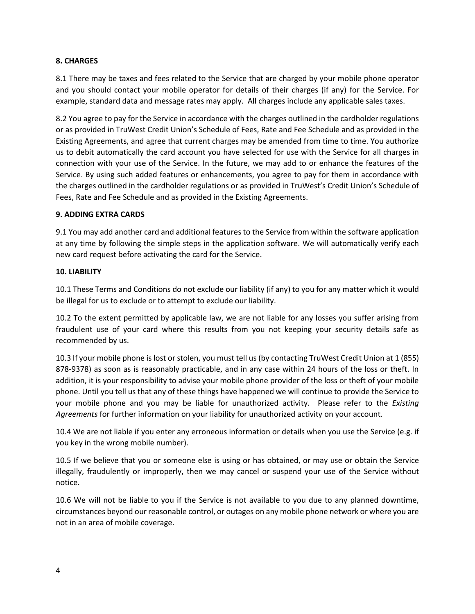## **8. CHARGES**

8.1 There may be taxes and fees related to the Service that are charged by your mobile phone operator and you should contact your mobile operator for details of their charges (if any) for the Service. For example, standard data and message rates may apply. All charges include any applicable sales taxes.

8.2 You agree to pay for the Service in accordance with the charges outlined in the cardholder regulations or as provided in TruWest Credit Union's Schedule of Fees, Rate and Fee Schedule and as provided in the Existing Agreements, and agree that current charges may be amended from time to time. You authorize us to debit automatically the card account you have selected for use with the Service for all charges in connection with your use of the Service. In the future, we may add to or enhance the features of the Service. By using such added features or enhancements, you agree to pay for them in accordance with the charges outlined in the cardholder regulations or as provided in TruWest's Credit Union's Schedule of Fees, Rate and Fee Schedule and as provided in the Existing Agreements.

#### **9. ADDING EXTRA CARDS**

9.1 You may add another card and additional features to the Service from within the software application at any time by following the simple steps in the application software. We will automatically verify each new card request before activating the card for the Service.

#### **10. LIABILITY**

10.1 These Terms and Conditions do not exclude our liability (if any) to you for any matter which it would be illegal for us to exclude or to attempt to exclude our liability.

10.2 To the extent permitted by applicable law, we are not liable for any losses you suffer arising from fraudulent use of your card where this results from you not keeping your security details safe as recommended by us.

10.3 If your mobile phone is lost or stolen, you must tell us (by contacting TruWest Credit Union at 1 (855) 878-9378) as soon as is reasonably practicable, and in any case within 24 hours of the loss or theft. In addition, it is your responsibility to advise your mobile phone provider of the loss or theft of your mobile phone. Until you tell us that any of these things have happened we will continue to provide the Service to your mobile phone and you may be liable for unauthorized activity. Please refer to the *Existing Agreements* for further information on your liability for unauthorized activity on your account.

10.4 We are not liable if you enter any erroneous information or details when you use the Service (e.g. if you key in the wrong mobile number).

10.5 If we believe that you or someone else is using or has obtained, or may use or obtain the Service illegally, fraudulently or improperly, then we may cancel or suspend your use of the Service without notice.

10.6 We will not be liable to you if the Service is not available to you due to any planned downtime, circumstances beyond our reasonable control, or outages on any mobile phone network or where you are not in an area of mobile coverage.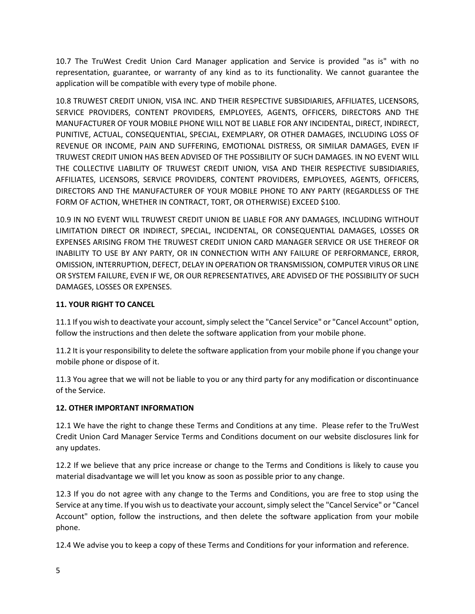10.7 The TruWest Credit Union Card Manager application and Service is provided "as is" with no representation, guarantee, or warranty of any kind as to its functionality. We cannot guarantee the application will be compatible with every type of mobile phone.

10.8 TRUWEST CREDIT UNION, VISA INC. AND THEIR RESPECTIVE SUBSIDIARIES, AFFILIATES, LICENSORS, SERVICE PROVIDERS, CONTENT PROVIDERS, EMPLOYEES, AGENTS, OFFICERS, DIRECTORS AND THE MANUFACTURER OF YOUR MOBILE PHONE WILL NOT BE LIABLE FOR ANY INCIDENTAL, DIRECT, INDIRECT, PUNITIVE, ACTUAL, CONSEQUENTIAL, SPECIAL, EXEMPLARY, OR OTHER DAMAGES, INCLUDING LOSS OF REVENUE OR INCOME, PAIN AND SUFFERING, EMOTIONAL DISTRESS, OR SIMILAR DAMAGES, EVEN IF TRUWEST CREDIT UNION HAS BEEN ADVISED OF THE POSSIBILITY OF SUCH DAMAGES. IN NO EVENT WILL THE COLLECTIVE LIABILITY OF TRUWEST CREDIT UNION, VISA AND THEIR RESPECTIVE SUBSIDIARIES, AFFILIATES, LICENSORS, SERVICE PROVIDERS, CONTENT PROVIDERS, EMPLOYEES, AGENTS, OFFICERS, DIRECTORS AND THE MANUFACTURER OF YOUR MOBILE PHONE TO ANY PARTY (REGARDLESS OF THE FORM OF ACTION, WHETHER IN CONTRACT, TORT, OR OTHERWISE) EXCEED \$100.

10.9 IN NO EVENT WILL TRUWEST CREDIT UNION BE LIABLE FOR ANY DAMAGES, INCLUDING WITHOUT LIMITATION DIRECT OR INDIRECT, SPECIAL, INCIDENTAL, OR CONSEQUENTIAL DAMAGES, LOSSES OR EXPENSES ARISING FROM THE TRUWEST CREDIT UNION CARD MANAGER SERVICE OR USE THEREOF OR INABILITY TO USE BY ANY PARTY, OR IN CONNECTION WITH ANY FAILURE OF PERFORMANCE, ERROR, OMISSION, INTERRUPTION, DEFECT, DELAY IN OPERATION OR TRANSMISSION, COMPUTER VIRUS OR LINE OR SYSTEM FAILURE, EVEN IF WE, OR OUR REPRESENTATIVES, ARE ADVISED OF THE POSSIBILITY OF SUCH DAMAGES, LOSSES OR EXPENSES.

# **11. YOUR RIGHT TO CANCEL**

11.1 If you wish to deactivate your account, simply select the "Cancel Service" or "Cancel Account" option, follow the instructions and then delete the software application from your mobile phone.

11.2 It is your responsibility to delete the software application from your mobile phone if you change your mobile phone or dispose of it.

11.3 You agree that we will not be liable to you or any third party for any modification or discontinuance of the Service.

# **12. OTHER IMPORTANT INFORMATION**

12.1 We have the right to change these Terms and Conditions at any time. Please refer to the TruWest Credit Union Card Manager Service Terms and Conditions document on our website disclosures link for any updates.

12.2 If we believe that any price increase or change to the Terms and Conditions is likely to cause you material disadvantage we will let you know as soon as possible prior to any change.

12.3 If you do not agree with any change to the Terms and Conditions, you are free to stop using the Service at any time. If you wish us to deactivate your account, simply select the "Cancel Service" or "Cancel Account" option, follow the instructions, and then delete the software application from your mobile phone.

12.4 We advise you to keep a copy of these Terms and Conditions for your information and reference.